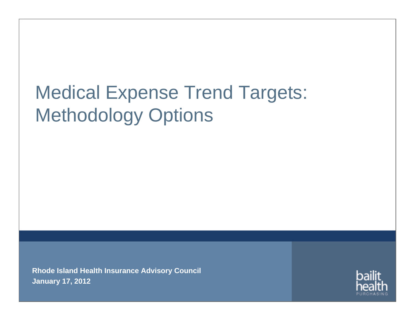# Medical Expense Trend Targets: Methodology Options

**Rhode Island Health Insurance Advisory Council January 17, 2012**

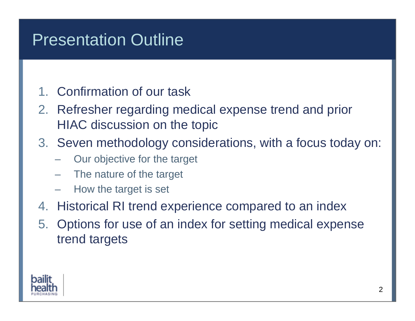# Presentation Outline

#### 1. Confirmation of our task

- 2. Refresher regarding medical expense trend and prior HIAC discussion on the topic
- 3. Seven methodology considerations, with a focus today on:
	- Our objective for the target
	- The nature of the target
	- How the target is set
- 4. Historical RI trend experience compared to an index
- 5. Options for use of an index for setting medical expense trend targets

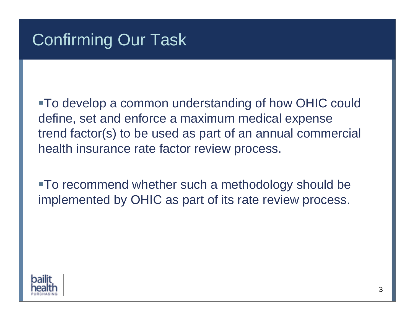To develop a common understanding of how OHIC could define, set and enforce a maximum medical expense trend factor(s) to be used as part of an annual commercial health insurance rate factor review process.

To recommend whether such a methodology should be implemented by OHIC as part of its rate review process.

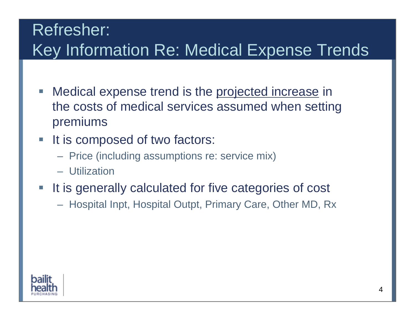# Refresher: Key Information Re: Medical Expense Trends

- Г Medical expense trend is the projected increase in the costs of medical services assumed when setting premiums
- $\mathcal{L}_{\mathcal{A}}$ It is composed of two factors:
	- Price (including assumptions re: service mix)
	- Utilization
- It is generally calculated for five categories of cost
	- Hospital Inpt, Hospital Outpt, Primary Care, Other MD, Rx

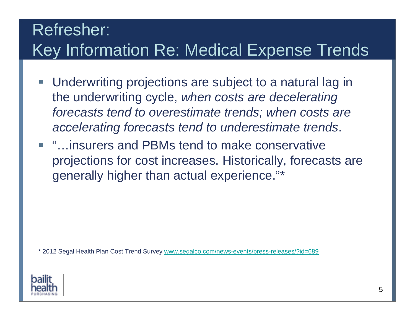# Refresher: Key Information Re: Medical Expense Trends

- Г Underwriting projections are subject to a natural lag in the underwriting cycle, *when costs are decelerating forecasts tend to overestimate trends; when costs are accelerating forecasts tend to underestimate trends*.
- "…insurers and PBMs tend to make conservative projections for cost increases. Historically, forecasts are generally higher than actual experience."\*

\* 2012 Segal Health Plan Cost Trend Survey [www.segalco.com/news-events/press-releases/?id=689](http://www.segalco.com/news-events/press-releases/?id=689)

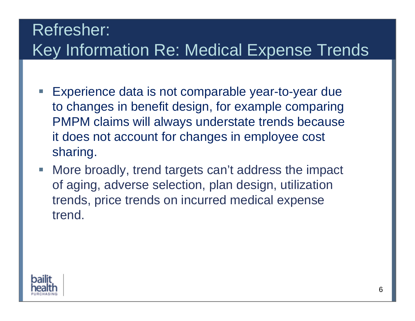# Refresher: Key Information Re: Medical Expense Trends

- Г Experience data is not comparable year-to-year due to changes in benefit design, for example comparing PMPM claims will always understate trends because it does not account for changes in employee cost sharing.
- $\overline{\phantom{a}}$  More broadly, trend targets can't address the impact of aging, adverse selection, plan design, utilization trends, price trends on incurred medical expense trend.

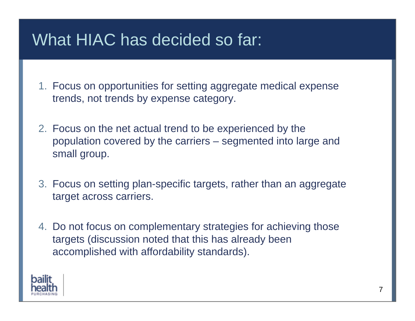#### What HIAC has decided so far:

- 1. Focus on opportunities for setting aggregate medical expense trends, not trends by expense category.
- 2. Focus on the net actual trend to be experienced by the population covered by the carriers – segmented into large and small group.
- 3. Focus on setting plan-specific targets, rather than an aggregate target across carriers.
- 4. Do not focus on complementary strategies for achieving those targets (discussion noted that this has already been accomplished with affordability standards).

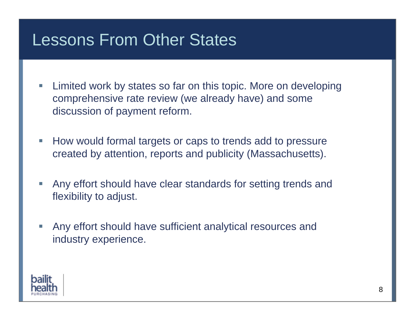#### Lessons From Other States

- $\Box$  Limited work by states so far on this topic. More on developing comprehensive rate review (we already have) and some discussion of payment reform.
- $\Box$  How would formal targets or caps to trends add to pressure created by attention, reports and publicity (Massachusetts).
- I. Any effort should have clear standards for setting trends and flexibility to adjust.
- Π Any effort should have sufficient analytical resources and industry experience.

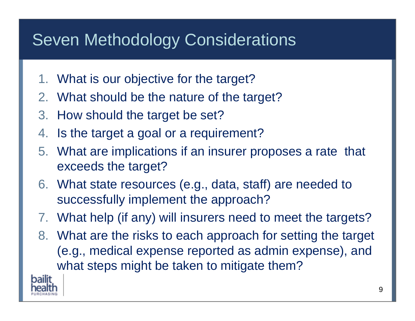# Seven Methodology Considerations

- 1. What is our objective for the target?
- 2. What should be the nature of the target?
- 3. How should the target be set?
- 4. Is the target a goal or a requirement?
- 5. What are implications if an insurer proposes a rate that exceeds the target?
- 6. What state resources (e.g., data, staff) are needed to successfully implement the approach?
- 7. What help (if any) will insurers need to meet the targets?
- 8. What are the risks to each approach for setting the target (e.g., medical expense reported as admin expense), and what steps might be taken to mitigate them?

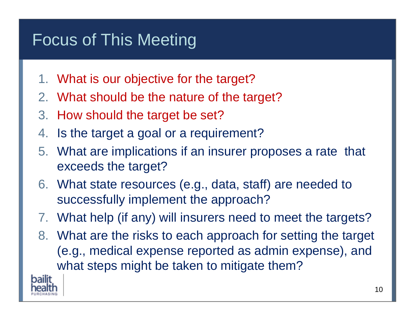# Focus of This Meeting

- 1. What is our objective for the target?
- 2. What should be the nature of the target?
- 3. How should the target be set?
- 4. Is the target a goal or a requirement?
- 5. What are implications if an insurer proposes a rate that exceeds the target?
- 6. What state resources (e.g., data, staff) are needed to successfully implement the approach?
- 7. What help (if any) will insurers need to meet the targets?
- 8. What are the risks to each approach for setting the target (e.g., medical expense reported as admin expense), and what steps might be taken to mitigate them?

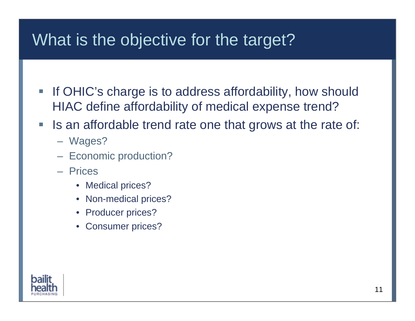#### What is the objective for the target?

- Г If OHIC's charge is to address affordability, how should HIAC define affordability of medical expense trend?
- $\mathcal{L}_{\mathcal{A}}$  Is an affordable trend rate one that grows at the rate of:
	- Wages?
	- Economic production?
	- Prices
		- Medical prices?
		- Non-medical prices?
		- Producer prices?
		- Consumer prices?

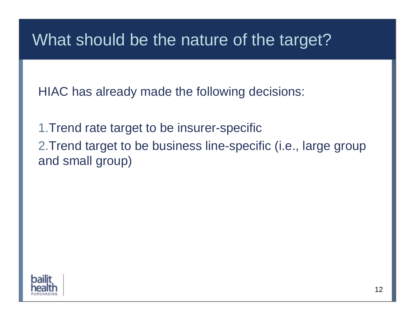#### What should be the nature of the target?

HIAC has already made the following decisions:

1.Trend rate target to be insurer-specific 2.Trend target to be business line-specific (i.e., large group and small group)

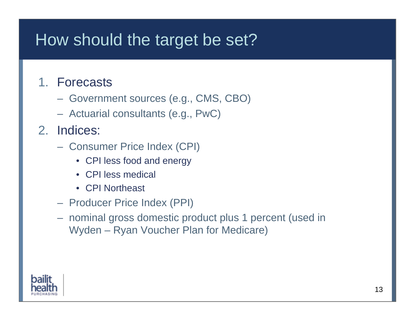#### How should the target be set?

#### 1. Forecasts

- Government sources (e.g., CMS, CBO)
- Actuarial consultants (e.g., PwC)

#### 2. Indices:

- Consumer Price Index (CPI)
	- CPI less food and energy
	- CPI less medical
	- CPI Northeast
- Producer Price Index (PPI)
- nominal gross domestic product plus 1 percent (used in Wyden – Ryan Voucher Plan for Medicare)

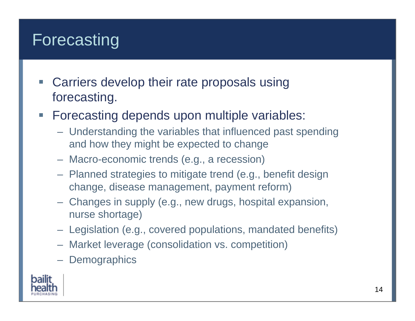## Forecasting

- Г Carriers develop their rate proposals using forecasting.
- Forecasting depends upon multiple variables:
	- Understanding the variables that influenced past spending and how they might be expected to change
	- Macro-economic trends (e.g., a recession)
	- Planned strategies to mitigate trend (e.g., benefit design change, disease management, payment reform)
	- Changes in supply (e.g., new drugs, hospital expansion, nurse shortage)
	- Legislation (e.g., covered populations, mandated benefits)
	- Market leverage (consolidation vs. competition)
	- Demographics

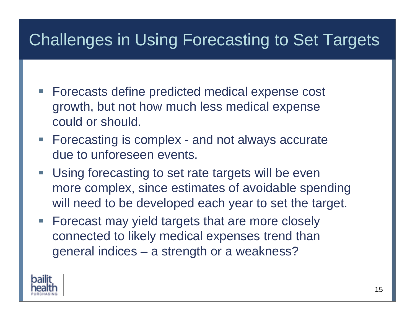# Challenges in Using Forecasting to Set Targets

- Forecasts define predicted medical expense cost growth, but not how much less medical expense could or should.
- **Forecasting is complex and not always accurate** due to unforeseen events.
- Г Using forecasting to set rate targets will be even more complex, since estimates of avoidable spending will need to be developed each year to set the target.
- **Forecast may yield targets that are more closely** connected to likely medical expenses trend than general indices – a strength or a weakness?

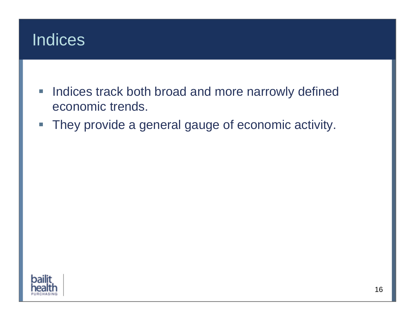

- $\overline{\phantom{a}}$  Indices track both broad and more narrowly defined economic trends.
- $\overline{\mathbb{R}^2}$ They provide a general gauge of economic activity.

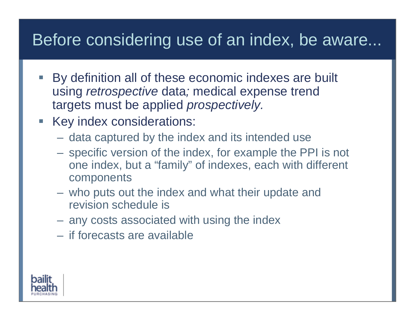#### Before considering use of an index, be aware...

- Г By definition all of these economic indexes are built using *retrospective* data*;* medical expense trend targets must be applied *prospectively.*
- **Key index considerations:** 
	- data captured by the index and its intended use
	- specific version of the index, for example the PPI is not one index, but a "family" of indexes, each with different components
	- who puts out the index and what their update and revision schedule is
	- any costs associated with using the index
	- if forecasts are available

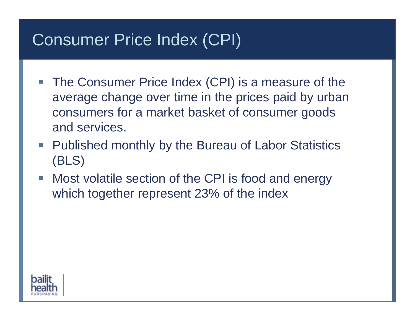#### Consumer Price Index (CPI)

- **The Consumer Price Index (CPI) is a measure of the** average change over time in the prices paid by urban consumers for a market basket of consumer goods and services.
- Published monthly by the Bureau of Labor Statistics (BLS)
- Most volatile section of the CPI is food and energy which together represent 23% of the index

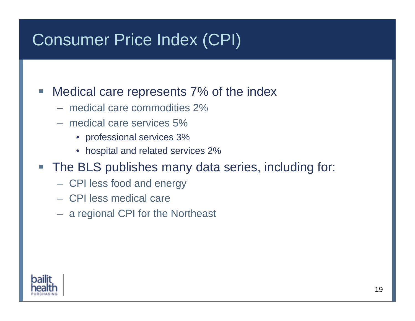#### Consumer Price Index (CPI)

- Г Medical care represents 7% of the index
	- medical care commodities 2%
	- medical care services 5%
		- professional services 3%
		- hospital and related services 2%
- Г The BLS publishes many data series, including for:
	- CPI less food and energy
	- CPI less medical care
	- a regional CPI for the Northeast

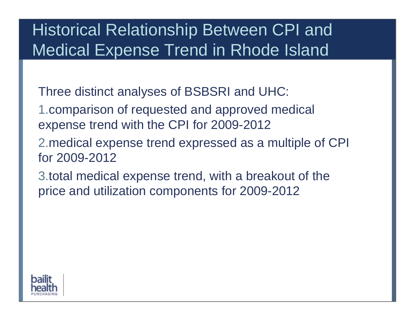### Historical Relationship Between CPI and Medical Expense Trend in Rhode Island

Three distinct analyses of BSBSRI and UHC:

- 1.comparison of requested and approved medical expense trend with the CPI for 2009-2012
- 2.medical expense trend expressed as a multiple of CPI for 2009-2012
- 3.total medical expense trend, with a breakout of the price and utilization components for 2009-2012

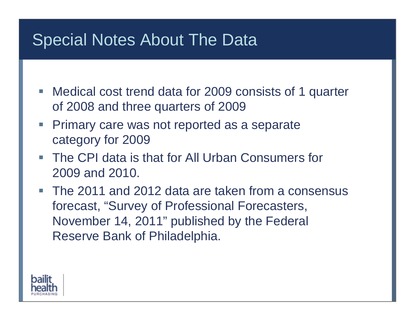#### Special Notes About The Data

- Medical cost trend data for 2009 consists of 1 quarter of 2008 and three quarters of 2009
- $\mathcal{L}_{\mathcal{A}}$  Primary care was not reported as a separate category for 2009
- The CPI data is that for All Urban Consumers for 2009 and 2010.
- The 2011 and 2012 data are taken from a consensus forecast, "Survey of Professional Forecasters, November 14, 2011" published by the Federal Reserve Bank of Philadelphia.

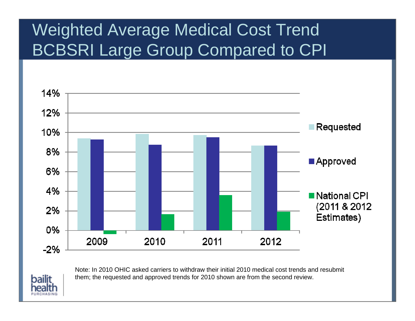# Weighted Average Medical Cost Trend BCBSRI Large Group Compared to CPI





Note: In 2010 OHIC asked carriers to withdraw their initial 2010 medical cost trends and resubmit them; the requested and approved trends for 2010 shown are from the second review.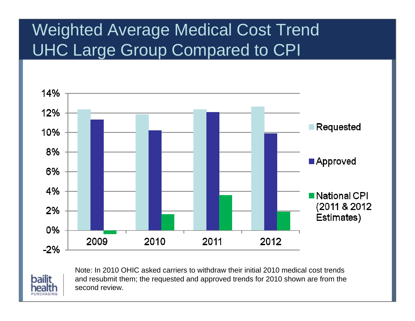# Weighted Average Medical Cost Trend UHC Large Group Compared to CPI





Note: In 2010 OHIC asked carriers to withdraw their initial 2010 medical cost trends and resubmit them; the requested and approved trends for 2010 shown are from the second review.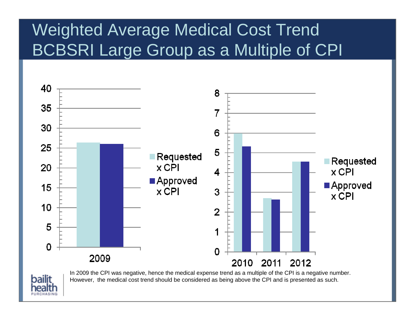# Weighted Average Medical Cost Trend BCBSRI Large Group as a Multiple of CPI





In 2009 the CPI was negative, hence the medical expense trend as a multiple of the CPI is a negative number. However, the medical cost trend should be considered as being above the CPI and is presented as such.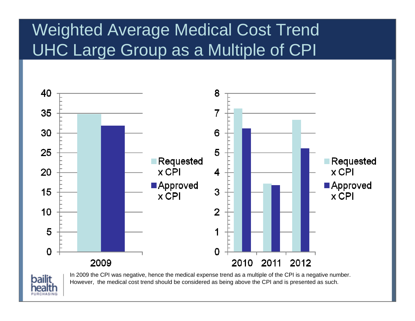# Weighted Average Medical Cost Trend UHC Large Group as a Multiple of CPI





In 2009 the CPI was negative, hence the medical expense trend as a multiple of the CPI is a negative number. However, the medical cost trend should be considered as being above the CPI and is presented as such.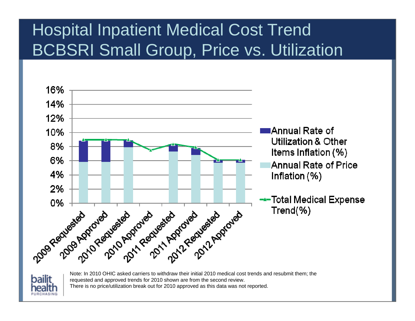# Hospital Inpatient Medical Cost Trend BCBSRI Small Group, Price vs. Utilization





Note: In 2010 OHIC asked carriers to withdraw their initial 2010 medical cost trends and resubmit them; the requested and approved trends for 2010 shown are from the second review. There is no price/utilization break out for 2010 approved as this data was not reported.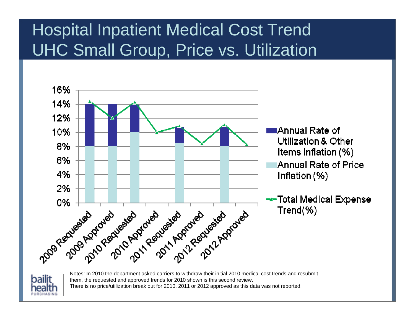# Hospital Inpatient Medical Cost Trend UHC Small Group, Price vs. Utilization





Notes: In 2010 the department asked carriers to withdraw their initial 2010 medical cost trends and resubmit them, the requested and approved trends for 2010 shown is this second review. There is no price/utilization break out for 2010, 2011 or 2012 approved as this data was not reported.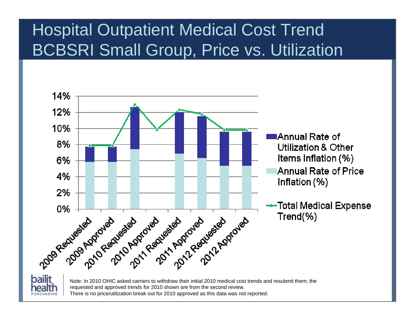# Hospital Outpatient Medical Cost Trend BCBSRI Small Group, Price vs. Utilization





Note: In 2010 OHIC asked carriers to withdraw their initial 2010 medical cost trends and resubmit them; the requested and approved trends for 2010 shown are from the second review. There is no price/utilization break out for 2010 approved as this data was not reported.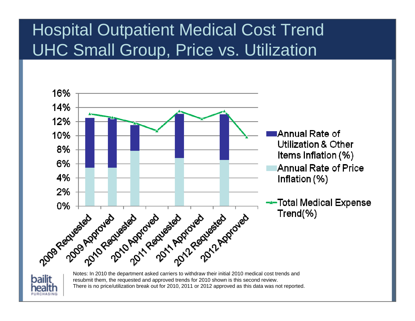# Hospital Outpatient Medical Cost Trend UHC Small Group, Price vs. Utilization





Notes: In 2010 the department asked carriers to withdraw their initial 2010 medical cost trends and resubmit them, the requested and approved trends for 2010 shown is this second review. There is no price/utilization break out for 2010, 2011 or 2012 approved as this data was not reported.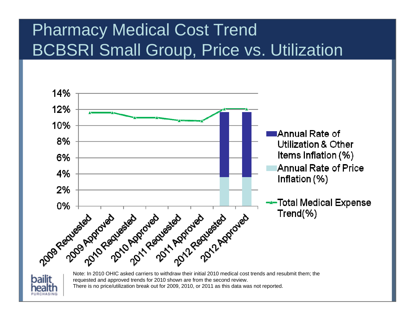# Pharmacy Medical Cost Trend BCBSRI Small Group, Price vs. Utilization





Note: In 2010 OHIC asked carriers to withdraw their initial 2010 medical cost trends and resubmit them; the requested and approved trends for 2010 shown are from the second review. There is no price/utilization break out for 2009, 2010, or 2011 as this data was not reported.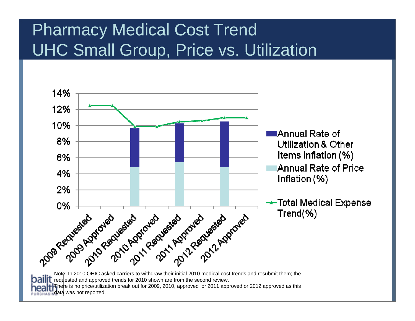# Pharmacy Medical Cost Trend UHC Small Group, Price vs. Utilization



bailit requested and approved trends for 2010 shown are from the second review. There is no price/utilization break out for 2009, 2010, approved or 2011 approved or 2012 approved as this **data** was not reported.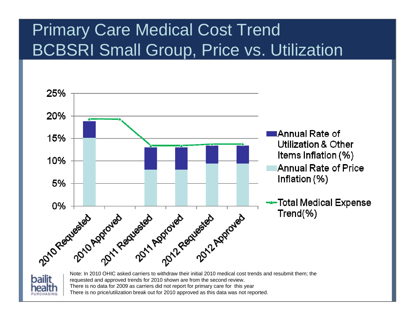# Primary Care Medical Cost Trend BCBSRI Small Group, Price vs. Utilization





Note: In 2010 OHIC asked carriers to withdraw their initial 2010 medical cost trends and resubmit them; the requested and approved trends for 2010 shown are from the second review. There is no data for 2009 as carriers did not report for primary care for this year There is no price/utilization break out for 2010 approved as this data was not reported.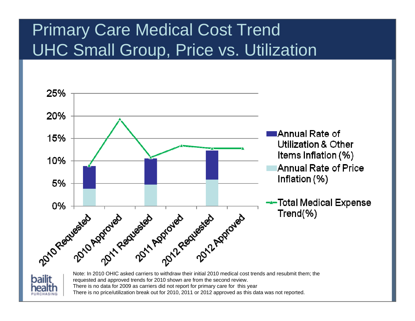# Primary Care Medical Cost Trend UHC Small Group, Price vs. Utilization





Note: In 2010 OHIC asked carriers to withdraw their initial 2010 medical cost trends and resubmit them; the requested and approved trends for 2010 shown are from the second review. There is no data for 2009 as carriers did not report for primary care for this year There is no price/utilization break out for 2010, 2011 or 2012 approved as this data was not reported.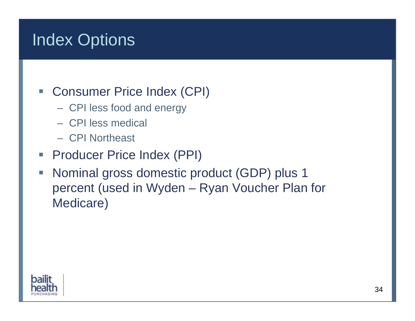# Index Options

#### **Consumer Price Index (CPI)**

- CPI less food and energy
- CPI less medical
- CPI Northeast
- $\mathcal{L}_{\mathcal{A}}$ Producer Price Index (PPI)
- $\mathcal{L}_{\mathcal{A}}$  Nominal gross domestic product (GDP) plus 1 percent (used in Wyden – Ryan Voucher Plan for Medicare)

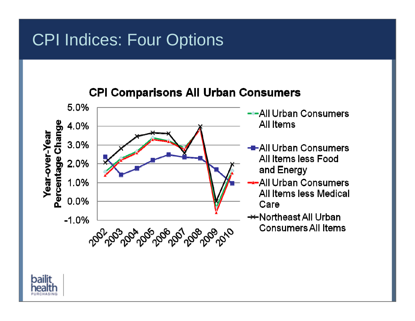#### CPI Indices: Four Options

#### **CPI Comparisons All Urban Consumers**



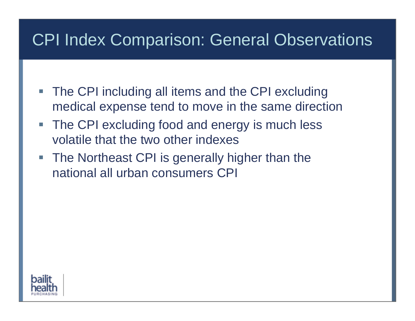#### CPI Index Comparison: General Observations

- **The CPI including all items and the CPI excluding** medical expense tend to move in the same direction
- $\mathcal{L}_{\mathcal{A}}$  The CPI excluding food and energy is much less volatile that the two other indexes
- **The Northeast CPI is generally higher than the** national all urban consumers CPI

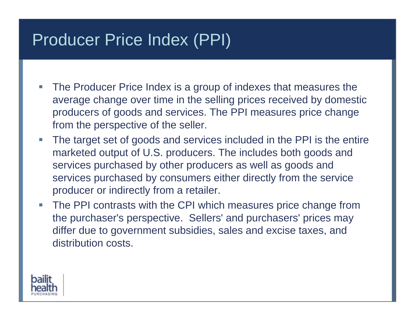#### Producer Price Index (PPI)

- I. The Producer Price Index is a group of indexes that measures the average change over time in the selling prices received by domestic producers of goods and services. The PPI measures price change from the perspective of the seller.
- $\overline{\phantom{a}}$  The target set of goods and services included in the PPI is the entire marketed output of U.S. producers. The includes both goods and services purchased by other producers as well as goods and services purchased by consumers either directly from the service producer or indirectly from a retailer.
- Г The PPI contrasts with the CPI which measures price change from the purchaser's perspective. Sellers' and purchasers' prices may differ due to government subsidies, sales and excise taxes, and distribution costs.

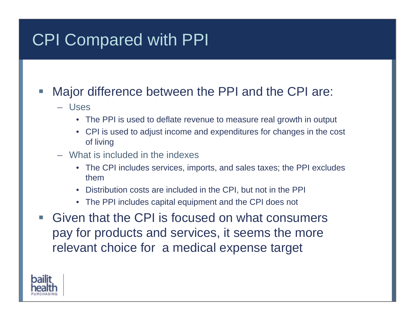# CPI Compared with PPI

#### Г Major difference between the PPI and the CPI are:

- Uses
	- The PPI is used to deflate revenue to measure real growth in output
	- CPI is used to adjust income and expenditures for changes in the cost of living
- What is included in the indexes
	- The CPI includes services, imports, and sales taxes; the PPI excludes them
	- Distribution costs are included in the CPI, but not in the PPI
	- The PPI includes capital equipment and the CPI does not
- Г Given that the CPI is focused on what consumers pay for products and services, it seems the more relevant choice for a medical expense target

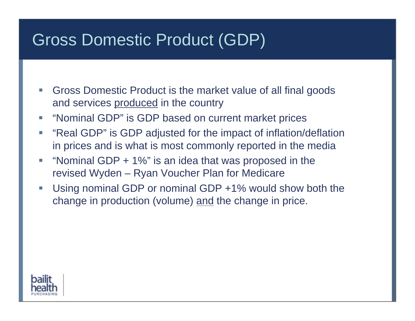#### Gross Domestic Product (GDP)

- I. Gross Domestic Product is the market value of all final goods and services produced in the country
- $\mathcal{L}_{\mathcal{A}}$ "Nominal GDP" is GDP based on current market prices
- П "Real GDP" is GDP adjusted for the impact of inflation/deflation in prices and is what is most commonly reported in the media
- E. "Nominal GDP + 1%" is an idea that was proposed in the revised Wyden – Ryan Voucher Plan for Medicare
- $\mathcal{L}_{\mathcal{A}}$  Using nominal GDP or nominal GDP +1% would show both the change in production (volume) and the change in price.

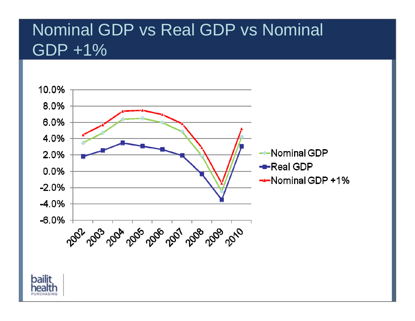#### Nominal GDP vs Real GDP vs Nominal GDP +1%